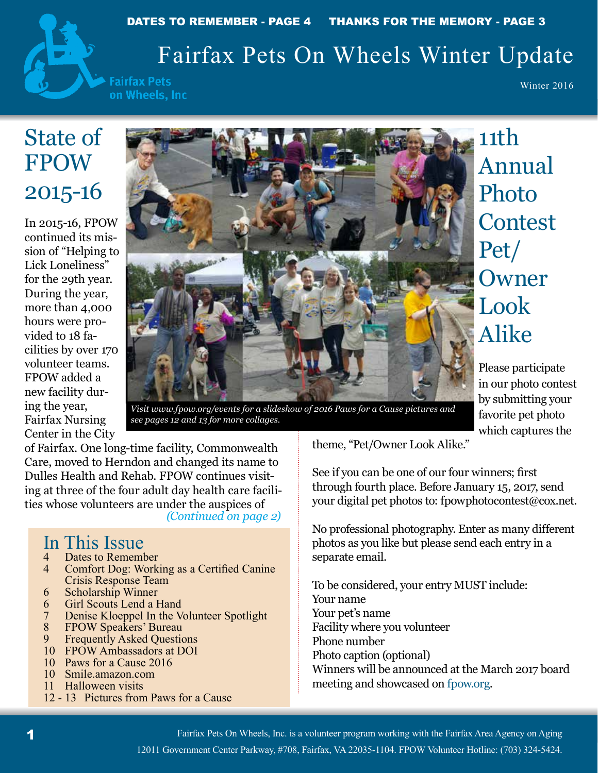# Fairfax Pets On Wheels Winter Update

**Fairfax Pets** on Wheels, Inc

Winter 2016

# State of FPOW 2015-16

In 2015-16, FPOW continued its mission of "Helping to Lick Loneliness" for the 29th year. During the year, more than 4,000 hours were provided to 18 facilities by over 170 volunteer teams. FPOW added a new facility during the year, Fairfax Nursing Center in the City



11th Annual Photo **Contest** Pet/ **Owner** Look Alike

Please participate in our photo contest by submitting your favorite pet photo which captures the

*Visit www.fpow.org/events for a slideshow of 2016 Paws for a Cause pictures and see pages 12 and 13 for more collages.* 

*(Continued on page 2)* of Fairfax. One long-time facility, Commonwealth Care, moved to Herndon and changed its name to Dulles Health and Rehab. FPOW continues visiting at three of the four adult day health care facilities whose volunteers are under the auspices of

# In This Issue<br>4 Dates to Remember

- 4 Dates to Remember<br>4 Comfort Dog: Work
- Comfort Dog: Working as a Certified Canine Crisis Response Team
- 6 Scholarship Winner
- 6 Girl Scouts Lend a Hand<br>7 Denise Kloeppel In the V
- 7 Denise Kloeppel In the Volunteer Spotlight<br>8 FPOW Speakers' Bureau
- 8 FPOW Speakers' Bureau<br>9 Frequently Asked Ouestic
- **Frequently Asked Questions**
- 10 FPOW Ambassadors at DOI
- 10 Paws for a Cause 2016
- 10 Smile.amazon.com<br>11 Halloween visits
- Halloween visits
- 12 13 Pictures from Paws for a Cause

theme, "Pet/Owner Look Alike."

See if you can be one of our four winners; first through fourth place. Before January 15, 2017, send your digital pet photos to: fpowphotocontest@cox.net.

No professional photography. Enter as many different photos as you like but please send each entry in a separate email.

To be considered, your entry MUST include: Your name Your pet's name Facility where you volunteer Phone number Photo caption (optional) Winners will be announced at the March 2017 board meeting and showcased on fpow.org.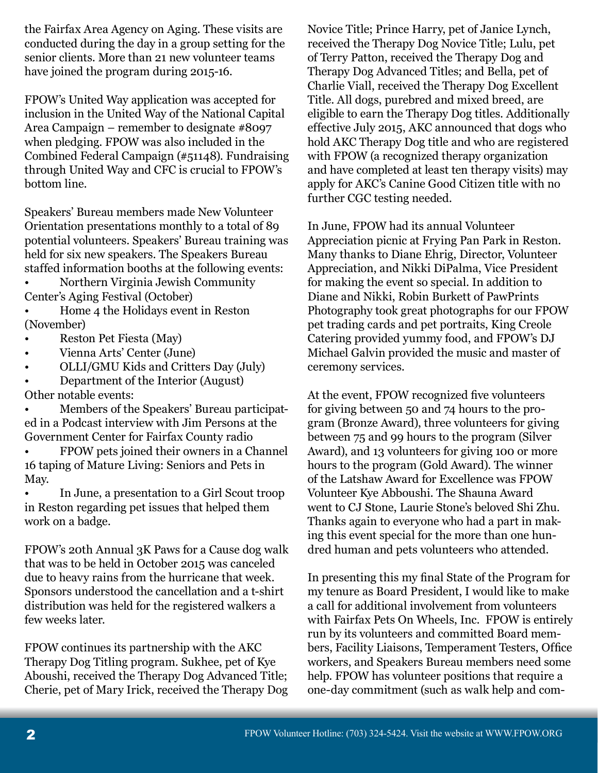the Fairfax Area Agency on Aging. These visits are conducted during the day in a group setting for the senior clients. More than 21 new volunteer teams have joined the program during 2015-16.

FPOW's United Way application was accepted for inclusion in the United Way of the National Capital Area Campaign – remember to designate #8097 when pledging. FPOW was also included in the Combined Federal Campaign (#51148). Fundraising through United Way and CFC is crucial to FPOW's bottom line.

Speakers' Bureau members made New Volunteer Orientation presentations monthly to a total of 89 potential volunteers. Speakers' Bureau training was held for six new speakers. The Speakers Bureau staffed information booths at the following events:

• Northern Virginia Jewish Community Center's Aging Festival (October)

• Home 4 the Holidays event in Reston (November)

- Reston Pet Fiesta (May)
- Vienna Arts' Center (June)
- OLLI/GMU Kids and Critters Day (July)

• Department of the Interior (August) Other notable events:

• Members of the Speakers' Bureau participated in a Podcast interview with Jim Persons at the Government Center for Fairfax County radio

• FPOW pets joined their owners in a Channel 16 taping of Mature Living: Seniors and Pets in May.

• In June, a presentation to a Girl Scout troop in Reston regarding pet issues that helped them work on a badge.

FPOW's 20th Annual 3K Paws for a Cause dog walk that was to be held in October 2015 was canceled due to heavy rains from the hurricane that week. Sponsors understood the cancellation and a t-shirt distribution was held for the registered walkers a few weeks later.

FPOW continues its partnership with the AKC Therapy Dog Titling program. Sukhee, pet of Kye Aboushi, received the Therapy Dog Advanced Title; Cherie, pet of Mary Irick, received the Therapy Dog

Novice Title; Prince Harry, pet of Janice Lynch, received the Therapy Dog Novice Title; Lulu, pet of Terry Patton, received the Therapy Dog and Therapy Dog Advanced Titles; and Bella, pet of Charlie Viall, received the Therapy Dog Excellent Title. All dogs, purebred and mixed breed, are eligible to earn the Therapy Dog titles. Additionally effective July 2015, AKC announced that dogs who hold AKC Therapy Dog title and who are registered with FPOW (a recognized therapy organization and have completed at least ten therapy visits) may apply for AKC's Canine Good Citizen title with no further CGC testing needed.

In June, FPOW had its annual Volunteer Appreciation picnic at Frying Pan Park in Reston. Many thanks to Diane Ehrig, Director, Volunteer Appreciation, and Nikki DiPalma, Vice President for making the event so special. In addition to Diane and Nikki, Robin Burkett of PawPrints Photography took great photographs for our FPOW pet trading cards and pet portraits, King Creole Catering provided yummy food, and FPOW's DJ Michael Galvin provided the music and master of ceremony services.

At the event, FPOW recognized five volunteers for giving between 50 and 74 hours to the program (Bronze Award), three volunteers for giving between 75 and 99 hours to the program (Silver Award), and 13 volunteers for giving 100 or more hours to the program (Gold Award). The winner of the Latshaw Award for Excellence was FPOW Volunteer Kye Abboushi. The Shauna Award went to CJ Stone, Laurie Stone's beloved Shi Zhu. Thanks again to everyone who had a part in making this event special for the more than one hundred human and pets volunteers who attended.

In presenting this my final State of the Program for my tenure as Board President, I would like to make a call for additional involvement from volunteers with Fairfax Pets On Wheels, Inc. FPOW is entirely run by its volunteers and committed Board members, Facility Liaisons, Temperament Testers, Office workers, and Speakers Bureau members need some help. FPOW has volunteer positions that require a one-day commitment (such as walk help and com-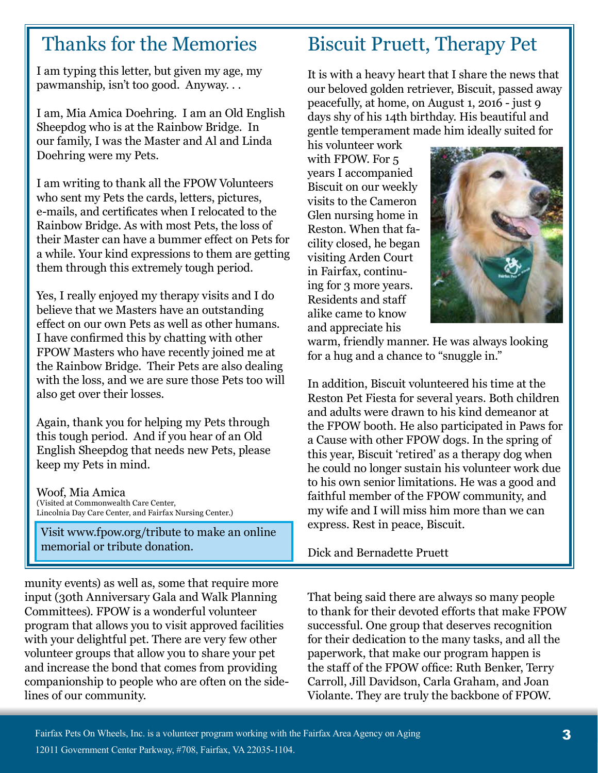I am typing this letter, but given my age, my pawmanship, isn't too good. Anyway. . .

I am, Mia Amica Doehring. I am an Old English Sheepdog who is at the Rainbow Bridge. In our family, I was the Master and Al and Linda Doehring were my Pets.

I am writing to thank all the FPOW Volunteers who sent my Pets the cards, letters, pictures, e-mails, and certificates when I relocated to the Rainbow Bridge. As with most Pets, the loss of their Master can have a bummer effect on Pets for a while. Your kind expressions to them are getting them through this extremely tough period.

Yes, I really enjoyed my therapy visits and I do believe that we Masters have an outstanding effect on our own Pets as well as other humans. I have confirmed this by chatting with other FPOW Masters who have recently joined me at the Rainbow Bridge. Their Pets are also dealing with the loss, and we are sure those Pets too will also get over their losses.

Again, thank you for helping my Pets through this tough period. And if you hear of an Old English Sheepdog that needs new Pets, please keep my Pets in mind.

Woof, Mia Amica (Visited at Commonwealth Care Center, Lincolnia Day Care Center, and Fairfax Nursing Center.)

Visit www.fpow.org/tribute to make an online memorial or tribute donation.

munity events) as well as, some that require more input (30th Anniversary Gala and Walk Planning Committees). FPOW is a wonderful volunteer program that allows you to visit approved facilities with your delightful pet. There are very few other volunteer groups that allow you to share your pet and increase the bond that comes from providing companionship to people who are often on the sidelines of our community.

### Thanks for the Memories Biscuit Pruett, Therapy Pet

It is with a heavy heart that I share the news that our beloved golden retriever, Biscuit, passed away peacefully, at home, on August 1, 2016 - just 9 days shy of his 14th birthday. His beautiful and gentle temperament made him ideally suited for

his volunteer work with FPOW. For 5 years I accompanied Biscuit on our weekly visits to the Cameron Glen nursing home in Reston. When that facility closed, he began visiting Arden Court in Fairfax, continuing for 3 more years. Residents and staff alike came to know and appreciate his



warm, friendly manner. He was always looking for a hug and a chance to "snuggle in."

In addition, Biscuit volunteered his time at the Reston Pet Fiesta for several years. Both children and adults were drawn to his kind demeanor at the FPOW booth. He also participated in Paws for a Cause with other FPOW dogs. In the spring of this year, Biscuit 'retired' as a therapy dog when he could no longer sustain his volunteer work due to his own senior limitations. He was a good and faithful member of the FPOW community, and my wife and I will miss him more than we can express. Rest in peace, Biscuit.

Dick and Bernadette Pruett

That being said there are always so many people to thank for their devoted efforts that make FPOW successful. One group that deserves recognition for their dedication to the many tasks, and all the paperwork, that make our program happen is the staff of the FPOW office: Ruth Benker, Terry Carroll, Jill Davidson, Carla Graham, and Joan Violante. They are truly the backbone of FPOW.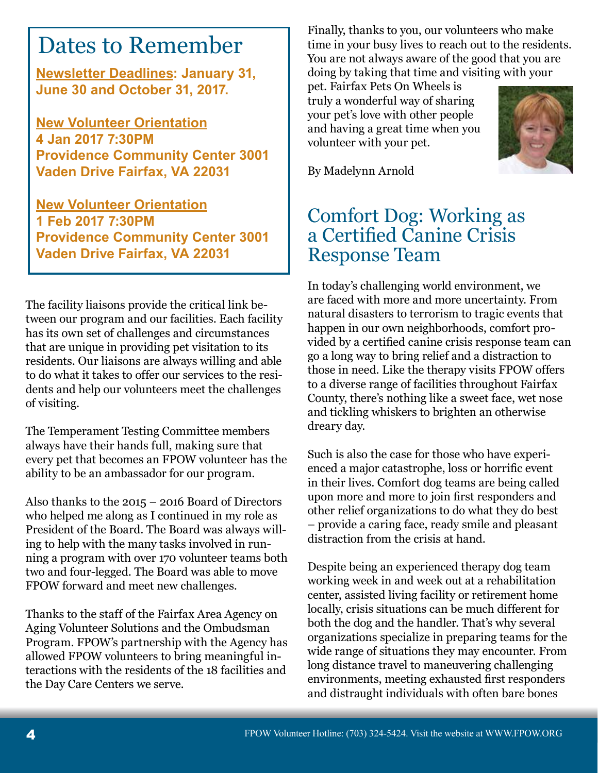# Dates to Remember

**Newsletter Deadlines: January 31, June 30 and October 31, 2017.**

**New Volunteer Orientation 4 Jan 2017 7:30PM Providence Community Center 3001 Vaden Drive Fairfax, VA 22031**

**New Volunteer Orientation 1 Feb 2017 7:30PM Providence Community Center 3001 Vaden Drive Fairfax, VA 22031**

The facility liaisons provide the critical link between our program and our facilities. Each facility has its own set of challenges and circumstances that are unique in providing pet visitation to its residents. Our liaisons are always willing and able to do what it takes to offer our services to the residents and help our volunteers meet the challenges of visiting.

The Temperament Testing Committee members always have their hands full, making sure that every pet that becomes an FPOW volunteer has the ability to be an ambassador for our program.

Also thanks to the 2015 – 2016 Board of Directors who helped me along as I continued in my role as President of the Board. The Board was always willing to help with the many tasks involved in running a program with over 170 volunteer teams both two and four-legged. The Board was able to move FPOW forward and meet new challenges.

Thanks to the staff of the Fairfax Area Agency on Aging Volunteer Solutions and the Ombudsman Program. FPOW's partnership with the Agency has allowed FPOW volunteers to bring meaningful interactions with the residents of the 18 facilities and the Day Care Centers we serve.

Finally, thanks to you, our volunteers who make time in your busy lives to reach out to the residents. You are not always aware of the good that you are doing by taking that time and visiting with your

pet. Fairfax Pets On Wheels is truly a wonderful way of sharing your pet's love with other people and having a great time when you volunteer with your pet.



By Madelynn Arnold

### Comfort Dog: Working as a Certified Canine Crisis Response Team

In today's challenging world environment, we are faced with more and more uncertainty. From natural disasters to terrorism to tragic events that happen in our own neighborhoods, comfort provided by a certified canine crisis response team can go a long way to bring relief and a distraction to those in need. Like the therapy visits FPOW offers to a diverse range of facilities throughout Fairfax County, there's nothing like a sweet face, wet nose and tickling whiskers to brighten an otherwise dreary day.

Such is also the case for those who have experienced a major catastrophe, loss or horrific event in their lives. Comfort dog teams are being called upon more and more to join first responders and other relief organizations to do what they do best – provide a caring face, ready smile and pleasant distraction from the crisis at hand.

Despite being an experienced therapy dog team working week in and week out at a rehabilitation center, assisted living facility or retirement home locally, crisis situations can be much different for both the dog and the handler. That's why several organizations specialize in preparing teams for the wide range of situations they may encounter. From long distance travel to maneuvering challenging environments, meeting exhausted first responders and distraught individuals with often bare bones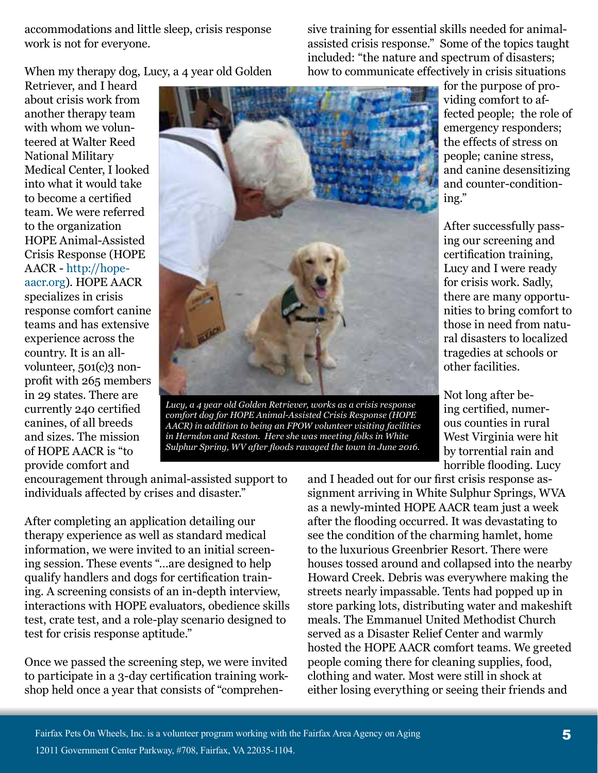accommodations and little sleep, crisis response work is not for everyone.

sive training for essential skills needed for animalassisted crisis response." Some of the topics taught included: "the nature and spectrum of disasters; how to communicate effectively in crisis situations

When my therapy dog, Lucy, a 4 year old Golden

Retriever, and I heard about crisis work from another therapy team with whom we volunteered at Walter Reed National Military Medical Center, I looked into what it would take to become a certified team. We were referred to the organization HOPE Animal-Assisted Crisis Response (HOPE AACR - http://hopeaacr.org). HOPE AACR specializes in crisis response comfort canine teams and has extensive experience across the country. It is an allvolunteer, 501(c)3 nonprofit with 265 members in 29 states. There are currently 240 certified canines, of all breeds and sizes. The mission of HOPE AACR is "to provide comfort and



*Lucy, a 4 year old Golden Retriever, works as a crisis response comfort dog for HOPE Animal-Assisted Crisis Response (HOPE AACR) in addition to being an FPOW volunteer visiting facilities in Herndon and Reston. Here she was meeting folks in White Sulphur Spring, WV after floods ravaged the town in June 2016.*

for the purpose of providing comfort to affected people; the role of emergency responders; the effects of stress on people; canine stress, and canine desensitizing and counter-conditioning."

After successfully passing our screening and certification training, Lucy and I were ready for crisis work. Sadly, there are many opportunities to bring comfort to those in need from natural disasters to localized tragedies at schools or other facilities.

Not long after being certified, numerous counties in rural West Virginia were hit by torrential rain and horrible flooding. Lucy

encouragement through animal-assisted support to individuals affected by crises and disaster."

After completing an application detailing our therapy experience as well as standard medical information, we were invited to an initial screening session. These events "…are designed to help qualify handlers and dogs for certification training. A screening consists of an in-depth interview, interactions with HOPE evaluators, obedience skills test, crate test, and a role-play scenario designed to test for crisis response aptitude."

Once we passed the screening step, we were invited to participate in a 3-day certification training workshop held once a year that consists of "comprehenand I headed out for our first crisis response assignment arriving in White Sulphur Springs, WVA as a newly-minted HOPE AACR team just a week after the flooding occurred. It was devastating to see the condition of the charming hamlet, home to the luxurious Greenbrier Resort. There were houses tossed around and collapsed into the nearby Howard Creek. Debris was everywhere making the streets nearly impassable. Tents had popped up in store parking lots, distributing water and makeshift meals. The Emmanuel United Methodist Church served as a Disaster Relief Center and warmly hosted the HOPE AACR comfort teams. We greeted people coming there for cleaning supplies, food, clothing and water. Most were still in shock at either losing everything or seeing their friends and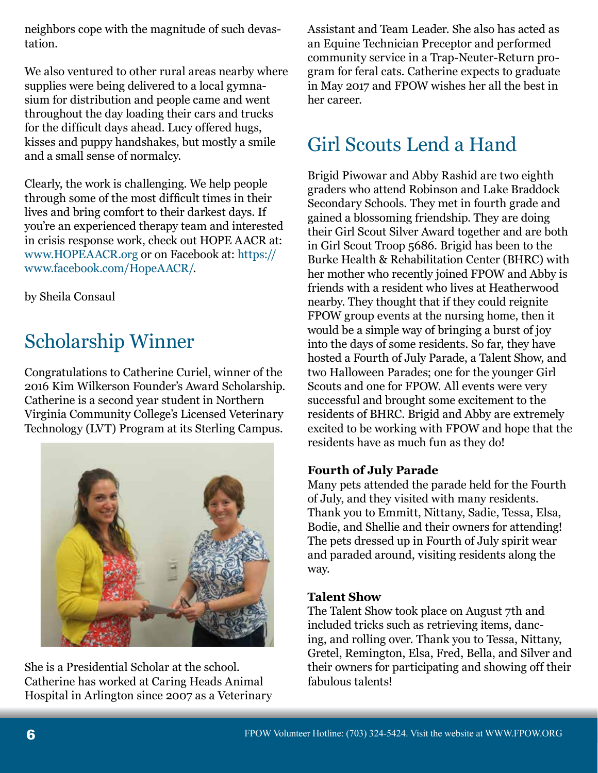neighbors cope with the magnitude of such devastation.

We also ventured to other rural areas nearby where supplies were being delivered to a local gymnasium for distribution and people came and went throughout the day loading their cars and trucks for the difficult days ahead. Lucy offered hugs, kisses and puppy handshakes, but mostly a smile and a small sense of normalcy.

Clearly, the work is challenging. We help people through some of the most difficult times in their lives and bring comfort to their darkest days. If you're an experienced therapy team and interested in crisis response work, check out HOPE AACR at: www.HOPEAACR.org or on Facebook at: https:// www.facebook.com/HopeAACR/.

by Sheila Consaul

## Scholarship Winner

Congratulations to Catherine Curiel, winner of the 2016 Kim Wilkerson Founder's Award Scholarship. Catherine is a second year student in Northern Virginia Community College's Licensed Veterinary Technology (LVT) Program at its Sterling Campus.



She is a Presidential Scholar at the school. Catherine has worked at Caring Heads Animal Hospital in Arlington since 2007 as a Veterinary Assistant and Team Leader. She also has acted as an Equine Technician Preceptor and performed community service in a Trap-Neuter-Return program for feral cats. Catherine expects to graduate in May 2017 and FPOW wishes her all the best in her career.

### Girl Scouts Lend a Hand

Brigid Piwowar and Abby Rashid are two eighth graders who attend Robinson and Lake Braddock Secondary Schools. They met in fourth grade and gained a blossoming friendship. They are doing their Girl Scout Silver Award together and are both in Girl Scout Troop 5686. Brigid has been to the Burke Health & Rehabilitation Center (BHRC) with her mother who recently joined FPOW and Abby is friends with a resident who lives at Heatherwood nearby. They thought that if they could reignite FPOW group events at the nursing home, then it would be a simple way of bringing a burst of joy into the days of some residents. So far, they have hosted a Fourth of July Parade, a Talent Show, and two Halloween Parades; one for the younger Girl Scouts and one for FPOW. All events were very successful and brought some excitement to the residents of BHRC. Brigid and Abby are extremely excited to be working with FPOW and hope that the residents have as much fun as they do!

#### **Fourth of July Parade**

Many pets attended the parade held for the Fourth of July, and they visited with many residents. Thank you to Emmitt, Nittany, Sadie, Tessa, Elsa, Bodie, and Shellie and their owners for attending! The pets dressed up in Fourth of July spirit wear and paraded around, visiting residents along the way.

#### **Talent Show**

The Talent Show took place on August 7th and included tricks such as retrieving items, dancing, and rolling over. Thank you to Tessa, Nittany, Gretel, Remington, Elsa, Fred, Bella, and Silver and their owners for participating and showing off their fabulous talents!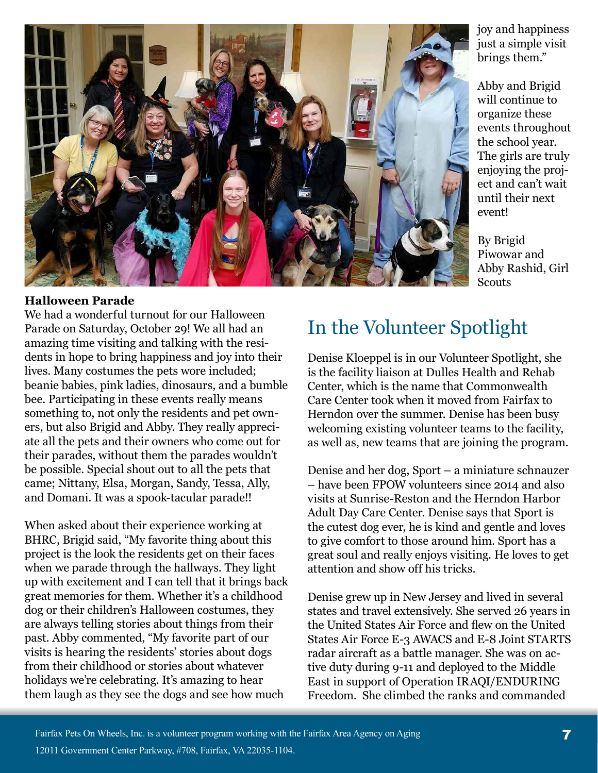

#### **Halloween Parade**

We had a wonderful turnout for our Halloween Parade on Saturday, October 29! We all had an amazing time visiting and talking with the residents in hope to bring happiness and joy into their lives. Many costumes the pets wore included; beanie babies, pink ladies, dinosaurs, and a bumble bee. Participating in these events really means something to, not only the residents and pet owners, but also Brigid and Abby. They really appreciate all the pets and their owners who come out for their parades, without them the parades wouldn't be possible. Special shout out to all the pets that came; Nittany, Elsa, Morgan, Sandy, Tessa, Ally, and Domani. It was a spook-tacular parade!!

When asked about their experience working at BHRC, Brigid said, "My favorite thing about this project is the look the residents get on their faces when we parade through the hallways. They light up with excitement and I can tell that it brings back great memories for them. Whether it's a childhood dog or their children's Halloween costumes, they are always telling stories about things from their past. Abby commented, "My favorite part of our visits is hearing the residents' stories about dogs from their childhood or stories about whatever holidays we're celebrating. It's amazing to hear them laugh as they see the dogs and see how much

### In the Volunteer Spotlight

Denise Kloeppel is in our Volunteer Spotlight, she is the facility liaison at Dulles Health and Rehab Center, which is the name that Commonwealth Care Center took when it moved from Fairfax to Herndon over the summer. Denise has been busy welcoming existing volunteer teams to the facility, as well as, new teams that are joining the program.

Denise and her dog, Sport – a miniature schnauzer – have been FPOW volunteers since 2014 and also visits at Sunrise-Reston and the Herndon Harbor Adult Day Care Center. Denise says that Sport is the cutest dog ever, he is kind and gentle and loves to give comfort to those around him. Sport has a great soul and really enjoys visiting. He loves to get attention and show off his tricks.

Denise grew up in New Jersey and lived in several states and travel extensively. She served 26 years in the United States Air Force and flew on the United States Air Force E-3 AWACS and E-8 Joint STARTS radar aircraft as a battle manager. She was on active duty during 9-11 and deployed to the Middle East in support of Operation IRAQI/ENDURING Freedom. She climbed the ranks and commanded

joy and happiness just a simple visit brings them."

Abby and Brigid will continue to organize these events throughout the school year. The girls are truly enjoying the project and can't wait until their next event!

By Brigid Piwowar and Abby Rashid, Girl **Scouts**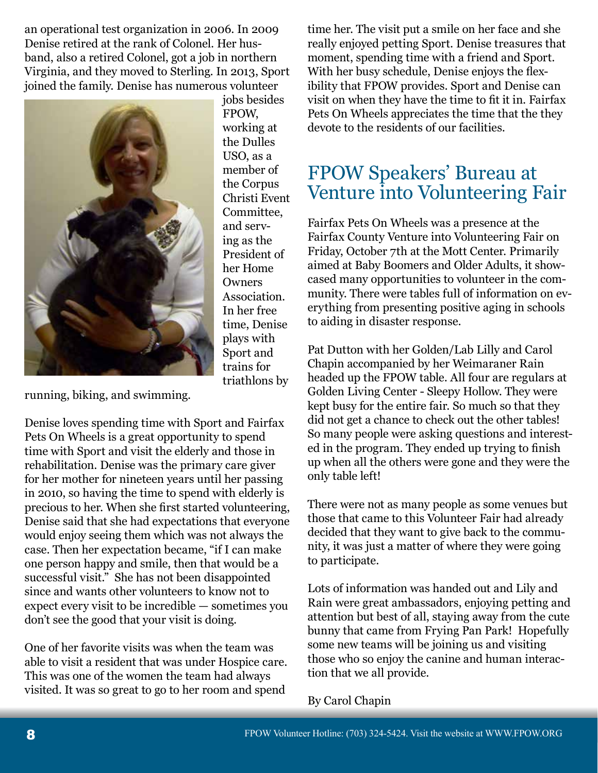an operational test organization in 2006. In 2009 Denise retired at the rank of Colonel. Her husband, also a retired Colonel, got a job in northern Virginia, and they moved to Sterling. In 2013, Sport joined the family. Denise has numerous volunteer



jobs besides FPOW, working at the Dulles USO, as a member of the Corpus Christi Event Committee, and serving as the President of her Home **Owners** Association. In her free time, Denise plays with Sport and trains for triathlons by

running, biking, and swimming.

Denise loves spending time with Sport and Fairfax Pets On Wheels is a great opportunity to spend time with Sport and visit the elderly and those in rehabilitation. Denise was the primary care giver for her mother for nineteen years until her passing in 2010, so having the time to spend with elderly is precious to her. When she first started volunteering, Denise said that she had expectations that everyone would enjoy seeing them which was not always the case. Then her expectation became, "if I can make one person happy and smile, then that would be a successful visit." She has not been disappointed since and wants other volunteers to know not to expect every visit to be incredible — sometimes you don't see the good that your visit is doing.

One of her favorite visits was when the team was able to visit a resident that was under Hospice care. This was one of the women the team had always visited. It was so great to go to her room and spend

time her. The visit put a smile on her face and she really enjoyed petting Sport. Denise treasures that moment, spending time with a friend and Sport. With her busy schedule, Denise enjoys the flexibility that FPOW provides. Sport and Denise can visit on when they have the time to fit it in. Fairfax Pets On Wheels appreciates the time that the they devote to the residents of our facilities.

#### FPOW Speakers' Bureau at Venture into Volunteering Fair

Fairfax Pets On Wheels was a presence at the Fairfax County Venture into Volunteering Fair on Friday, October 7th at the Mott Center. Primarily aimed at Baby Boomers and Older Adults, it showcased many opportunities to volunteer in the community. There were tables full of information on everything from presenting positive aging in schools to aiding in disaster response.

Pat Dutton with her Golden/Lab Lilly and Carol Chapin accompanied by her Weimaraner Rain headed up the FPOW table. All four are regulars at Golden Living Center - Sleepy Hollow. They were kept busy for the entire fair. So much so that they did not get a chance to check out the other tables! So many people were asking questions and interested in the program. They ended up trying to finish up when all the others were gone and they were the only table left!

There were not as many people as some venues but those that came to this Volunteer Fair had already decided that they want to give back to the community, it was just a matter of where they were going to participate.

Lots of information was handed out and Lily and Rain were great ambassadors, enjoying petting and attention but best of all, staying away from the cute bunny that came from Frying Pan Park! Hopefully some new teams will be joining us and visiting those who so enjoy the canine and human interaction that we all provide.

By Carol Chapin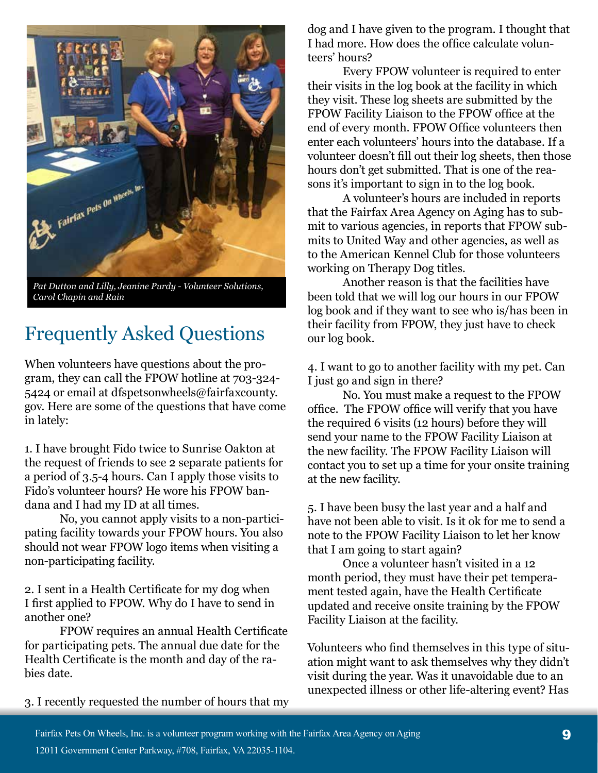

*Pat Dutton and Lilly, Jeanine Purdy - Volunteer Solutions, Carol Chapin and Rain*

### Frequently Asked Questions

When volunteers have questions about the program, they can call the FPOW hotline at 703-324- 5424 or email at dfspetsonwheels@fairfaxcounty. gov. Here are some of the questions that have come in lately:

1. I have brought Fido twice to Sunrise Oakton at the request of friends to see 2 separate patients for a period of 3.5-4 hours. Can I apply those visits to Fido's volunteer hours? He wore his FPOW bandana and I had my ID at all times.

No, you cannot apply visits to a non-participating facility towards your FPOW hours. You also should not wear FPOW logo items when visiting a non-participating facility.

2. I sent in a Health Certificate for my dog when I first applied to FPOW. Why do I have to send in another one?

FPOW requires an annual Health Certificate for participating pets. The annual due date for the Health Certificate is the month and day of the rabies date.

dog and I have given to the program. I thought that I had more. How does the office calculate volunteers' hours?

Every FPOW volunteer is required to enter their visits in the log book at the facility in which they visit. These log sheets are submitted by the FPOW Facility Liaison to the FPOW office at the end of every month. FPOW Office volunteers then enter each volunteers' hours into the database. If a volunteer doesn't fill out their log sheets, then those hours don't get submitted. That is one of the reasons it's important to sign in to the log book.

A volunteer's hours are included in reports that the Fairfax Area Agency on Aging has to submit to various agencies, in reports that FPOW submits to United Way and other agencies, as well as to the American Kennel Club for those volunteers working on Therapy Dog titles.

Another reason is that the facilities have been told that we will log our hours in our FPOW log book and if they want to see who is/has been in their facility from FPOW, they just have to check our log book.

4. I want to go to another facility with my pet. Can I just go and sign in there?

No. You must make a request to the FPOW office. The FPOW office will verify that you have the required 6 visits (12 hours) before they will send your name to the FPOW Facility Liaison at the new facility. The FPOW Facility Liaison will contact you to set up a time for your onsite training at the new facility.

5. I have been busy the last year and a half and have not been able to visit. Is it ok for me to send a note to the FPOW Facility Liaison to let her know that I am going to start again?

Once a volunteer hasn't visited in a 12 month period, they must have their pet temperament tested again, have the Health Certificate updated and receive onsite training by the FPOW Facility Liaison at the facility.

Volunteers who find themselves in this type of situation might want to ask themselves why they didn't visit during the year. Was it unavoidable due to an unexpected illness or other life-altering event? Has

3. I recently requested the number of hours that my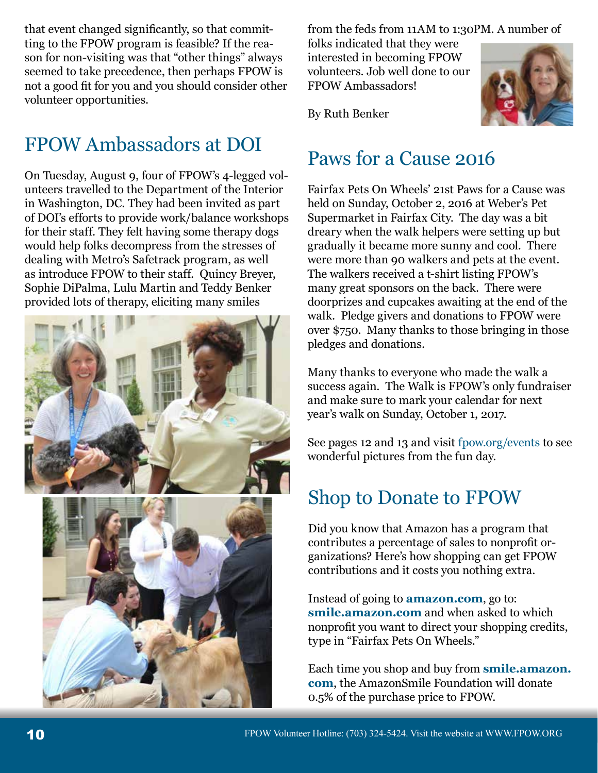that event changed significantly, so that committing to the FPOW program is feasible? If the reason for non-visiting was that "other things" always seemed to take precedence, then perhaps FPOW is not a good fit for you and you should consider other volunteer opportunities.

### FPOW Ambassadors at DOI

On Tuesday, August 9, four of FPOW's 4-legged volunteers travelled to the Department of the Interior in Washington, DC. They had been invited as part of DOI's efforts to provide work/balance workshops for their staff. They felt having some therapy dogs would help folks decompress from the stresses of dealing with Metro's Safetrack program, as well as introduce FPOW to their staff. Quincy Breyer, Sophie DiPalma, Lulu Martin and Teddy Benker provided lots of therapy, eliciting many smiles



from the feds from 11AM to 1:30PM. A number of

folks indicated that they were interested in becoming FPOW volunteers. Job well done to our FPOW Ambassadors!



By Ruth Benker

### Paws for a Cause 2016

Fairfax Pets On Wheels' 21st Paws for a Cause was held on Sunday, October 2, 2016 at Weber's Pet Supermarket in Fairfax City. The day was a bit dreary when the walk helpers were setting up but gradually it became more sunny and cool. There were more than 90 walkers and pets at the event. The walkers received a t-shirt listing FPOW's many great sponsors on the back. There were doorprizes and cupcakes awaiting at the end of the walk. Pledge givers and donations to FPOW were over \$750. Many thanks to those bringing in those pledges and donations.

Many thanks to everyone who made the walk a success again. The Walk is FPOW's only fundraiser and make sure to mark your calendar for next year's walk on Sunday, October 1, 2017.

See pages 12 and 13 and visit fpow.org/events to see wonderful pictures from the fun day.

### Shop to Donate to FPOW

Did you know that Amazon has a program that contributes a percentage of sales to nonprofit organizations? Here's how shopping can get FPOW contributions and it costs you nothing extra.

Instead of going to **amazon.com**, go to: **smile.amazon.com** and when asked to which nonprofit you want to direct your shopping credits, type in "Fairfax Pets On Wheels."

Each time you shop and buy from **smile.amazon. com**, the AmazonSmile Foundation will donate 0.5% of the purchase price to FPOW.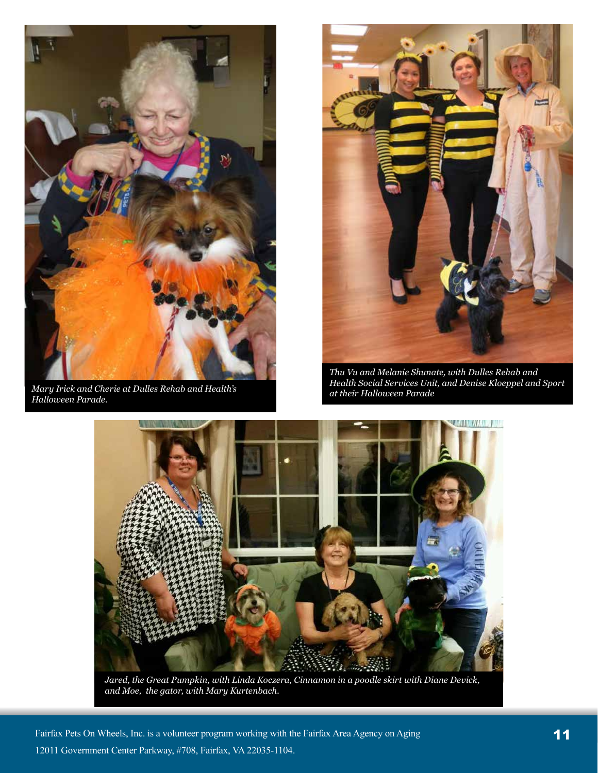

*Mary Irick and Cherie at Dulles Rehab and Health's Halloween Parade.*



*Thu Vu and Melanie Shunate, with Dulles Rehab and Health Social Services Unit, and Denise Kloeppel and Sport at their Halloween Parade*



*Jared, the Great Pumpkin, with Linda Koczera, Cinnamon in a poodle skirt with Diane Devick, and Moe, the gator, with Mary Kurtenbach.*

Fairfax Pets On Wheels, Inc. is a volunteer program working with the Fairfax Area Agency on Aging 12011 Government Center Parkway, #708, Fairfax, VA 22035-1104.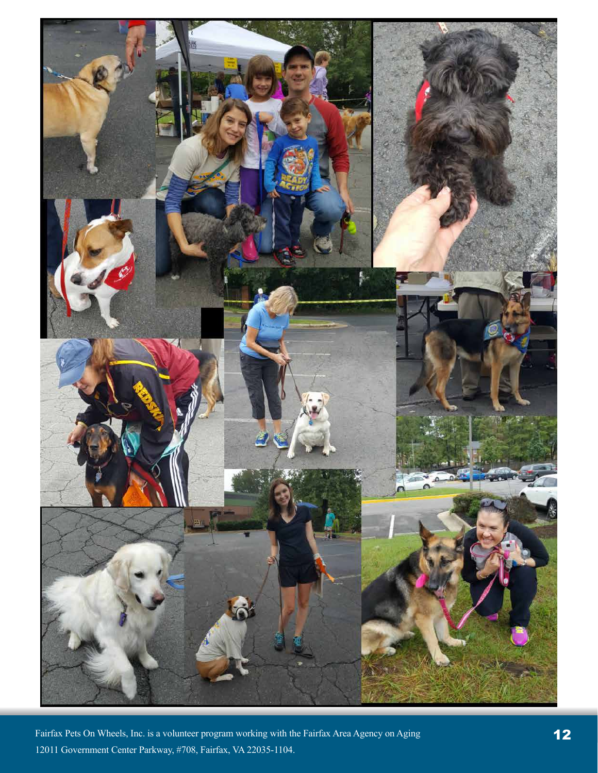

Fairfax Pets On Wheels, Inc. is a volunteer program working with the Fairfax Area Agency on Aging 12011 Government Center Parkway, #708, Fairfax, VA 22035-1104.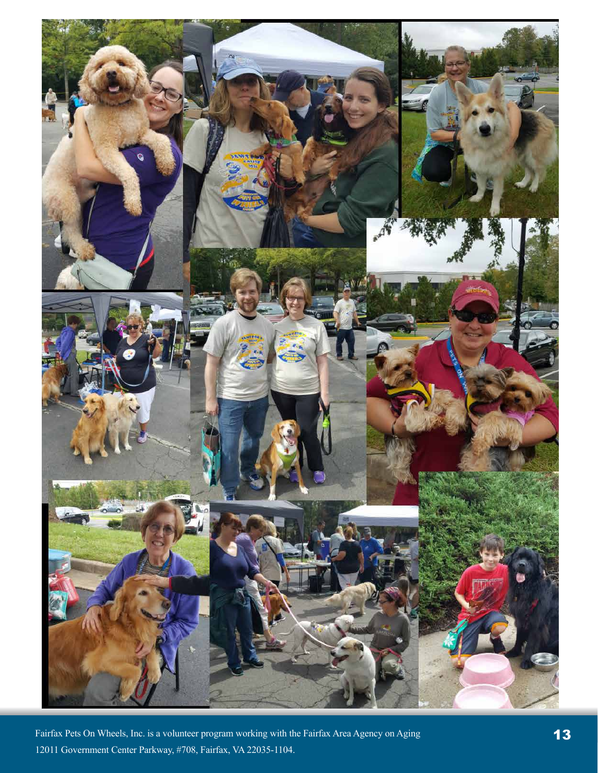

Fairfax Pets On Wheels, Inc. is a volunteer program working with the Fairfax Area Agency on Aging 12011 Government Center Parkway, #708, Fairfax, VA 22035-1104.